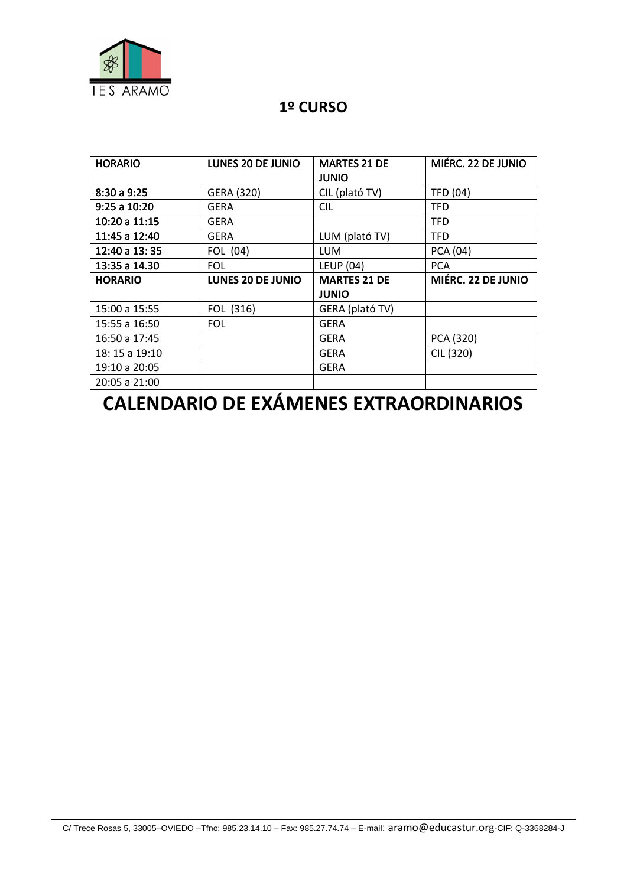

## **1º CURSO**

| <b>HORARIO</b> | <b>LUNES 20 DE JUNIO</b> | <b>MARTES 21 DE</b> | MIÉRC. 22 DE JUNIO |
|----------------|--------------------------|---------------------|--------------------|
|                |                          | <b>JUNIO</b>        |                    |
| 8:30 a 9:25    | GERA (320)               | CIL (plató TV)      | <b>TFD (04)</b>    |
| 9:25 a 10:20   | GERA                     | CIL                 | <b>TFD</b>         |
| 10:20 a 11:15  | GERA                     |                     | <b>TFD</b>         |
| 11:45 a 12:40  | GERA                     | LUM (plató TV)      | <b>TFD</b>         |
| 12:40 a 13:35  | FOL (04)                 | <b>LUM</b>          | PCA (04)           |
| 13:35 a 14.30  | <b>FOL</b>               | <b>LEUP (04)</b>    | <b>PCA</b>         |
|                |                          |                     |                    |
| <b>HORARIO</b> | <b>LUNES 20 DE JUNIO</b> | <b>MARTES 21 DE</b> | MIÉRC. 22 DE JUNIO |
|                |                          | <b>JUNIO</b>        |                    |
| 15:00 a 15:55  | FOL (316)                | GERA (plató TV)     |                    |
| 15:55 a 16:50  | <b>FOL</b>               | GERA                |                    |
| 16:50 a 17:45  |                          | <b>GERA</b>         | PCA (320)          |
| 18: 15 a 19:10 |                          | <b>GERA</b>         | CIL (320)          |
| 19:10 a 20:05  |                          | <b>GERA</b>         |                    |

## **CALENDARIO DE EXÁMENES EXTRAORDINARIOS**